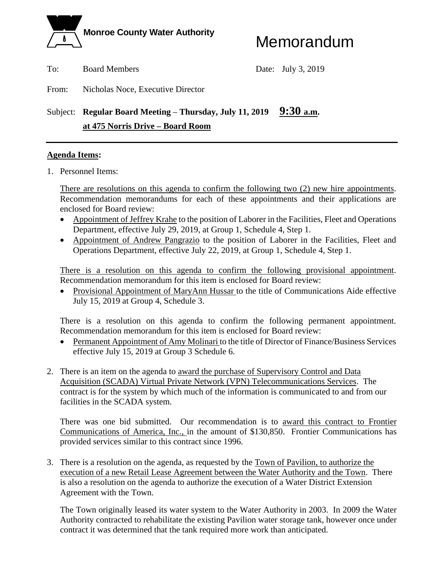

To: Board Members Date: July 3, 2019

From: Nicholas Noce, Executive Director

# Subject: **Regular Board Meeting** – **Thursday, July 11, 2019 9:30 a.m. at 475 Norris Drive – Board Room**

# **Agenda Items:**

1. Personnel Items:

There are resolutions on this agenda to confirm the following two (2) new hire appointments. Recommendation memorandums for each of these appointments and their applications are enclosed for Board review:

- Appointment of Jeffrey Krahe to the position of Laborer in the Facilities, Fleet and Operations Department, effective July 29, 2019, at Group 1, Schedule 4, Step 1.
- Appointment of Andrew Pangrazio to the position of Laborer in the Facilities, Fleet and Operations Department, effective July 22, 2019, at Group 1, Schedule 4, Step 1.

There is a resolution on this agenda to confirm the following provisional appointment. Recommendation memorandum for this item is enclosed for Board review:

 Provisional Appointment of MaryAnn Hussar to the title of Communications Aide effective July 15, 2019 at Group 4, Schedule 3.

There is a resolution on this agenda to confirm the following permanent appointment. Recommendation memorandum for this item is enclosed for Board review:

- Permanent Appointment of Amy Molinari to the title of Director of Finance/Business Services effective July 15, 2019 at Group 3 Schedule 6.
- 2. There is an item on the agenda to award the purchase of Supervisory Control and Data Acquisition (SCADA) Virtual Private Network (VPN) Telecommunications Services. The contract is for the system by which much of the information is communicated to and from our facilities in the SCADA system.

There was one bid submitted. Our recommendation is to award this contract to Frontier Communications of America, Inc., in the amount of \$130,850. Frontier Communications has provided services similar to this contract since 1996.

3. There is a resolution on the agenda, as requested by the Town of Pavilion, to authorize the execution of a new Retail Lease Agreement between the Water Authority and the Town. There is also a resolution on the agenda to authorize the execution of a Water District Extension Agreement with the Town.

 The Town originally leased its water system to the Water Authority in 2003. In 2009 the Water Authority contracted to rehabilitate the existing Pavilion water storage tank, however once under contract it was determined that the tank required more work than anticipated.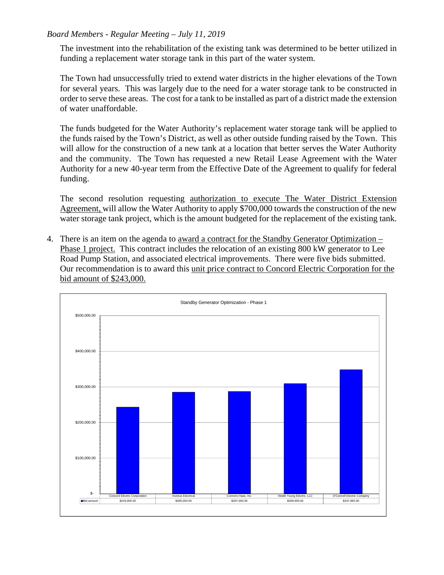# *Board Members - Regular Meeting – July 11, 2019*

 The investment into the rehabilitation of the existing tank was determined to be better utilized in funding a replacement water storage tank in this part of the water system.

 The Town had unsuccessfully tried to extend water districts in the higher elevations of the Town for several years. This was largely due to the need for a water storage tank to be constructed in order to serve these areas. The cost for a tank to be installed as part of a district made the extension of water unaffordable.

The funds budgeted for the Water Authority's replacement water storage tank will be applied to the funds raised by the Town's District, as well as other outside funding raised by the Town. This will allow for the construction of a new tank at a location that better serves the Water Authority and the community. The Town has requested a new Retail Lease Agreement with the Water Authority for a new 40-year term from the Effective Date of the Agreement to qualify for federal funding.

The second resolution requesting authorization to execute The Water District Extension Agreement, will allow the Water Authority to apply \$700,000 towards the construction of the new water storage tank project, which is the amount budgeted for the replacement of the existing tank.

4. There is an item on the agenda to award a contract for the Standby Generator Optimization – Phase 1 project. This contract includes the relocation of an existing 800 kW generator to Lee Road Pump Station, and associated electrical improvements. There were five bids submitted. Our recommendation is to award this unit price contract to Concord Electric Corporation for the bid amount of \$243,000.

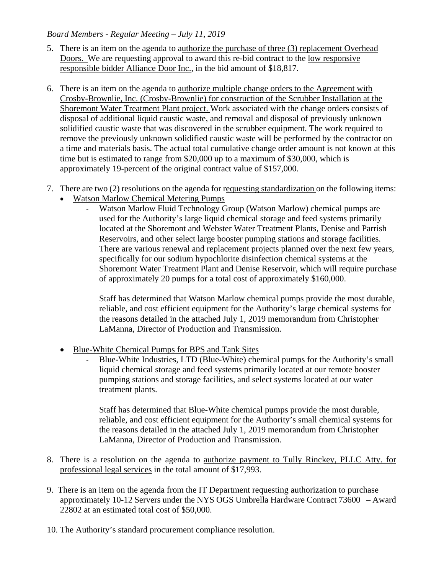# *Board Members - Regular Meeting – July 11, 2019*

- 5. There is an item on the agenda to authorize the purchase of three (3) replacement Overhead Doors. We are requesting approval to award this re-bid contract to the low responsive responsible bidder Alliance Door Inc., in the bid amount of \$18,817.
- 6. There is an item on the agenda to authorize multiple change orders to the Agreement with Crosby-Brownlie, Inc. (Crosby-Brownlie) for construction of the Scrubber Installation at the Shoremont Water Treatment Plant project. Work associated with the change orders consists of disposal of additional liquid caustic waste, and removal and disposal of previously unknown solidified caustic waste that was discovered in the scrubber equipment. The work required to remove the previously unknown solidified caustic waste will be performed by the contractor on a time and materials basis. The actual total cumulative change order amount is not known at this time but is estimated to range from \$20,000 up to a maximum of \$30,000, which is approximately 19-percent of the original contract value of \$157,000.
- 7. There are two (2) resolutions on the agenda for requesting standardization on the following items:
	- Watson Marlow Chemical Metering Pumps
		- ‐ Watson Marlow Fluid Technology Group (Watson Marlow) chemical pumps are used for the Authority's large liquid chemical storage and feed systems primarily located at the Shoremont and Webster Water Treatment Plants, Denise and Parrish Reservoirs, and other select large booster pumping stations and storage facilities. There are various renewal and replacement projects planned over the next few years, specifically for our sodium hypochlorite disinfection chemical systems at the Shoremont Water Treatment Plant and Denise Reservoir, which will require purchase of approximately 20 pumps for a total cost of approximately \$160,000.

Staff has determined that Watson Marlow chemical pumps provide the most durable, reliable, and cost efficient equipment for the Authority's large chemical systems for the reasons detailed in the attached July 1, 2019 memorandum from Christopher LaManna, Director of Production and Transmission.

- Blue-White Chemical Pumps for BPS and Tank Sites
	- ‐ Blue-White Industries, LTD (Blue-White) chemical pumps for the Authority's small liquid chemical storage and feed systems primarily located at our remote booster pumping stations and storage facilities, and select systems located at our water treatment plants.

Staff has determined that Blue-White chemical pumps provide the most durable, reliable, and cost efficient equipment for the Authority's small chemical systems for the reasons detailed in the attached July 1, 2019 memorandum from Christopher LaManna, Director of Production and Transmission.

- 8. There is a resolution on the agenda to authorize payment to Tully Rinckey, PLLC Atty. for professional legal services in the total amount of \$17,993.
- 9. There is an item on the agenda from the IT Department requesting authorization to purchase approximately 10-12 Servers under the NYS OGS Umbrella Hardware Contract 73600 – Award 22802 at an estimated total cost of \$50,000.
- 10. The Authority's standard procurement compliance resolution.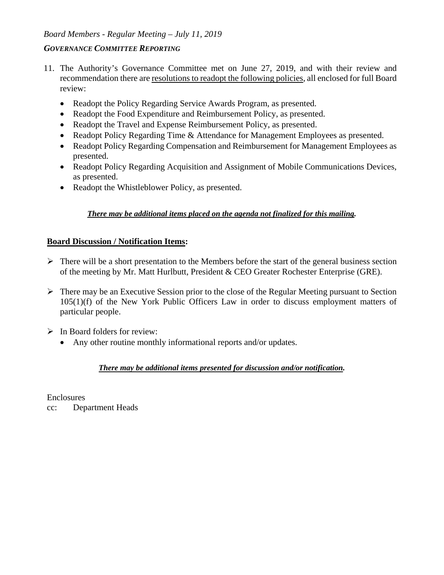# *Board Members - Regular Meeting – July 11, 2019*

## *GOVERNANCE COMMITTEE REPORTING*

- 11. The Authority's Governance Committee met on June 27, 2019, and with their review and recommendation there are resolutions to readopt the following policies, all enclosed for full Board review:
	- Readopt the Policy Regarding Service Awards Program, as presented.
	- Readopt the Food Expenditure and Reimbursement Policy, as presented.
	- Readopt the Travel and Expense Reimbursement Policy, as presented.
	- Readopt Policy Regarding Time & Attendance for Management Employees as presented.
	- Readopt Policy Regarding Compensation and Reimbursement for Management Employees as presented.
	- Readopt Policy Regarding Acquisition and Assignment of Mobile Communications Devices, as presented.
	- Readopt the Whistleblower Policy, as presented.

# *There may be additional items placed on the agenda not finalized for this mailing.*

# **Board Discussion / Notification Items:**

- $\triangleright$  There will be a short presentation to the Members before the start of the general business section of the meeting by Mr. Matt Hurlbutt, President & CEO Greater Rochester Enterprise (GRE).
- $\triangleright$  There may be an Executive Session prior to the close of the Regular Meeting pursuant to Section 105(1)(f) of the New York Public Officers Law in order to discuss employment matters of particular people.
- $\triangleright$  In Board folders for review:
	- Any other routine monthly informational reports and/or updates.

# *There may be additional items presented for discussion and/or notification.*

**Enclosures** 

cc: Department Heads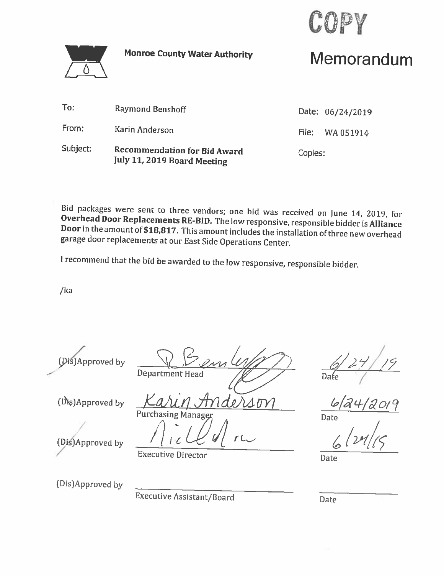

**Monroe County Water Authority** 

# Memorandum

| Subject: | <b>Recommendation for Bid Award</b><br><b>July 11, 2019 Board Meeting</b> | Copies: |                  |
|----------|---------------------------------------------------------------------------|---------|------------------|
| From:    | Karin Anderson                                                            |         | File: WA 051914  |
| To:      | <b>Raymond Benshoff</b>                                                   |         | Date: 06/24/2019 |

Bid packages were sent to three vendors; one bid was received on June 14, 2019, for Overhead Door Replacements RE-BID. The low responsive, responsible bidder is Alliance Door in the amount of \$18,817. This amount includes the installation of three new overhead garage door replacements at our East Side Operations Center.

I recommend that the bid be awarded to the low responsive, responsible bidder.

 $/ka$ 

(Dis)Approved by

(Dis)Approved by

**Department Head** 

 $\mathcal{O}$ .

 $\Delta \bm{D}$ 

Date

Date

(Dis)Approved by

(Dis)Approved by

**Executive Assistant/Board** 

**Purchasing Manage** 

**Executive Director** 

Date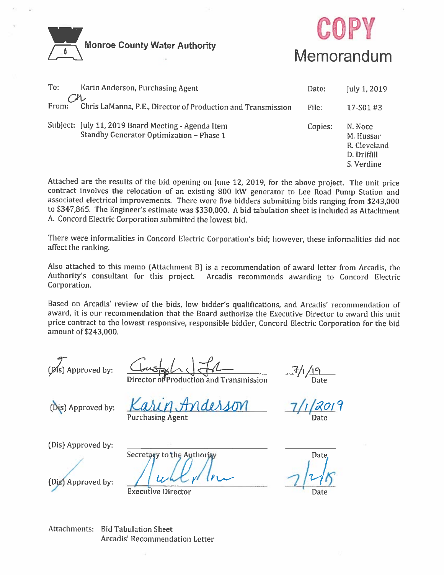



| To:   | Karin Anderson, Purchasing Agent                                                               | Date:   | July 1, 2019                                                      |
|-------|------------------------------------------------------------------------------------------------|---------|-------------------------------------------------------------------|
| From: | Chris LaManna, P.E., Director of Production and Transmission                                   | File:   | 17-S01#3                                                          |
|       | Subject: July 11, 2019 Board Meeting - Agenda Item<br>Standby Generator Optimization - Phase 1 | Copies: | N. Noce<br>M. Hussar<br>R. Cleveland<br>D. Driffill<br>S. Verdine |

Attached are the results of the bid opening on June 12, 2019, for the above project. The unit price contract involves the relocation of an existing 800 kW generator to Lee Road Pump Station and associated electrical improvements. There were five bidders submitting bids ranging from \$243,000 to \$347,865. The Engineer's estimate was \$330,000. A bid tabulation sheet is included as Attachment A. Concord Electric Corporation submitted the lowest bid.

There were informalities in Concord Electric Corporation's bid; however, these informalities did not affect the ranking.

Also attached to this memo (Attachment B) is a recommendation of award letter from Arcadis, the Authority's consultant for this project. Arcadis recommends awarding to Concord Electric Corporation.

Based on Arcadis' review of the bids, low bidder's qualifications, and Arcadis' recommendation of award, it is our recommendation that the Board authorize the Executive Director to award this unit price contract to the lowest responsive, responsible bidder, Concord Electric Corporation for the bid amount of \$243,000.

(Dis) Approved by:

Production and Transmission

 $7/19$ <br>Date

(Dis) Approved by:

rderson **Purchasing Agent** 

<u>1201</u>9

(Dis) Approved by:

(Dis) Approved by:

Secretary to the Authority

**Executive Director** 

Date

Date

**Attachments: Bid Tabulation Sheet** Arcadis' Recommendation Letter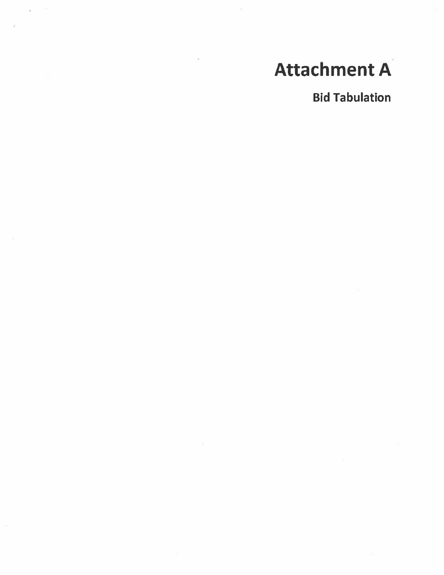# **Attachment A**

**Bid Tabulation**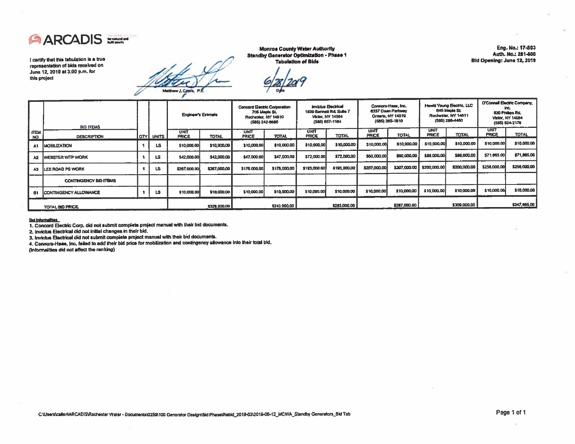

I certify that this tabulation is a true representation of bids received on June 12, 2019 at 3:00 p.m. for this project

**Monroe County Water Authority Standby Generator Optimization - Phase 1 Tabulation of Bids** 

Eng. No.: 17-803 Auth. No.: 281-600 Bid Opening: June 12, 2019

|                    | <b>BID ITEMS</b>             |               | <b>Engineer's Estimate</b>  |              | <b>Concord Eactric Corporation</b><br>705 Maple St.<br>Rochester, NY 14610<br>(585) 242-8680 |              | <b>Invictos Electrical</b><br>1939 Bennett Rd, Suite 7<br><b>Victor, NY 14584</b><br>(586) 857-1184 |              | Connors-Hase, Inc.<br>6337 Dean Parkway<br>Ontario, NY 14519<br>(585) 265-1810 |              | Hewitt Young Electric, LLC<br><b>645 Macio St.</b><br>Rochester, NY 14611<br>(585) 288-4480 |              | <b>O'Connell Electric Company,</b><br>ing.<br>830 Phillips Rd.<br>Victor, NY 14554<br>(585) 924-2176 |              |
|--------------------|------------------------------|---------------|-----------------------------|--------------|----------------------------------------------------------------------------------------------|--------------|-----------------------------------------------------------------------------------------------------|--------------|--------------------------------------------------------------------------------|--------------|---------------------------------------------------------------------------------------------|--------------|------------------------------------------------------------------------------------------------------|--------------|
| <b>ITEM</b><br>NO. | <b>DESCRIPTION</b>           | I QTY I UNITS | <b>UNIT</b><br><b>PRICE</b> | <b>TOTAL</b> | <b>UNIT</b><br><b>PRICE</b>                                                                  | <b>TOTAL</b> | <b>UNIT</b><br><b>PRICE</b>                                                                         | <b>TOTAL</b> | <b>UNIT</b><br><b>PRICE</b>                                                    | <b>TOTAL</b> | <b>UNIT</b><br><b>PRICE</b>                                                                 | <b>TOTAL</b> | <b>UNIT</b><br>PRICE                                                                                 | <b>TOTAL</b> |
| A1                 | <b>MOBILIZATION</b>          | LS            | \$10,000.00                 | \$10,000,00  | \$10,000,00                                                                                  | \$10,000.00  | \$10,000,00                                                                                         | \$10,000.00  | \$10,000.00                                                                    | \$10,000.00  | \$10,000.00                                                                                 | \$10,000.00  | \$10,000.00                                                                                          | \$10,000.00  |
| A2                 | WEBSTER WTP WORK             | LS            | \$42,000.00                 | \$42,000.00  | \$47,000.00                                                                                  | \$47,000,00  | \$72,000.00                                                                                         | \$72,000.00  | \$60,000,00                                                                    | \$50,000.00  | \$89,000,00                                                                                 | \$89,000.00  | \$71,065.00                                                                                          | \$71,865.00  |
| AS                 | LEE ROAD PS WORK             | LS            | \$267,000.00                | \$267,000.00 | \$176,000,00                                                                                 | \$178,000.00 | \$193,000.00                                                                                        | \$193,000.00 | \$207,000.00                                                                   | \$207,000.00 | \$200,000.00                                                                                | \$200,000.00 | \$256,000,00                                                                                         | \$256,000.00 |
|                    | <b>CONTINGENCY BID ITEMS</b> |               |                             |              |                                                                                              |              |                                                                                                     |              |                                                                                |              |                                                                                             |              |                                                                                                      |              |
| 81                 | CONTINGENCY ALLOWANCE        | LS            | \$10,000.00                 | \$10,000.00  | \$10,000.00                                                                                  | \$10,000.00  | \$10,000.00                                                                                         | \$10,000.00  | \$10,000.00                                                                    | \$10,000,00  | \$10,000.00                                                                                 | \$10,000.00  | \$10,000.00                                                                                          | \$10,000.00  |
|                    | <b>TOTAL BID PRICE.</b>      |               |                             | \$329,000.00 |                                                                                              | \$243,000.00 |                                                                                                     | \$285,000.00 |                                                                                | \$287,000.00 |                                                                                             | \$309,000.00 |                                                                                                      | \$347,865.00 |

#### Bel Informations:

1. Concord Electric Corp. did not submit complete project manual with their bid documents.

2. Invictus Electrical did not initial changes in their bid.

3. Invictus Electrical did not submit complete project manual with their bid documents.

4. Connors-Haas, Inc. failed to add their bid price for mobilization and contingency allowance into their total bid.

(Informalities did not affect the ranking)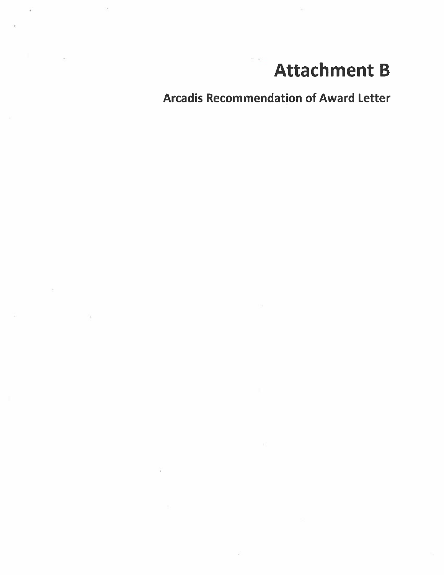# **Attachment B**

**Arcadis Recommendation of Award Letter** 

 $\mathcal{C}$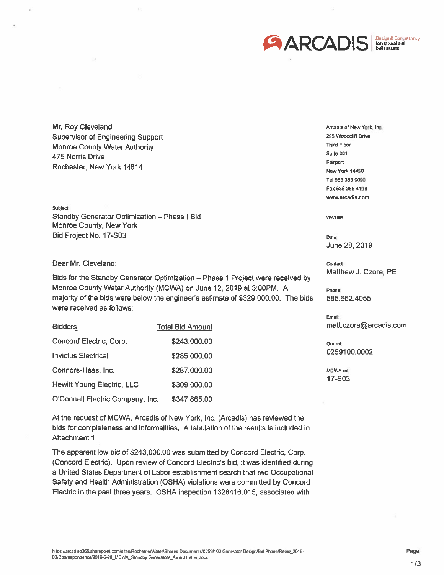

Mr. Roy Cleveland **Supervisor of Engineering Support Monroe County Water Authority** 475 Norris Drive Rochester, New York 14614

Subject: Standby Generator Optimization - Phase | Bid Monroe County, New York Bid Project No. 17-S03

Dear Mr. Cleveland:

Bids for the Standby Generator Optimization - Phase 1 Project were received by Monroe County Water Authority (MCWA) on June 12, 2019 at 3:00PM. A majority of the bids were below the engineer's estimate of \$329,000.00. The bids were received as follows:

| <b>Bidders</b>                   | <b>Total Bid Amount</b> |
|----------------------------------|-------------------------|
| Concord Electric, Corp.          | \$243,000.00            |
| <b>Invictus Electrical</b>       | \$285,000.00            |
| Connors-Haas, Inc.               | \$287,000.00            |
| Hewitt Young Electric, LLC       | \$309,000.00            |
| O'Connell Electric Company, Inc. | \$347,865.00            |

Arcadis of New York, Inc. 295 Woodcliff Drive **Third Floor** Suite 301 Fairport New York 14450 Tel 585 385 0090 Fax 585 385 4198 www.arcadis.com

**WATER** 

Date June 28, 2019

Contact: Matthew J. Czora, PE

**Phone** 585.662.4055

Email: matt.czora@arcadis.com

Our ref: 0259100.0002

MCWA ref: 17-S03

At the request of MCWA, Arcadis of New York, Inc. (Arcadis) has reviewed the bids for completeness and informalities. A tabulation of the results is included in Attachment 1.

The apparent low bid of \$243,000.00 was submitted by Concord Electric, Corp. (Concord Electric). Upon review of Concord Electric's bid, it was identified during a United States Department of Labor establishment search that two Occupational Safety and Health Administration (OSHA) violations were committed by Concord Electric in the past three years. OSHA inspection 1328416.015, associated with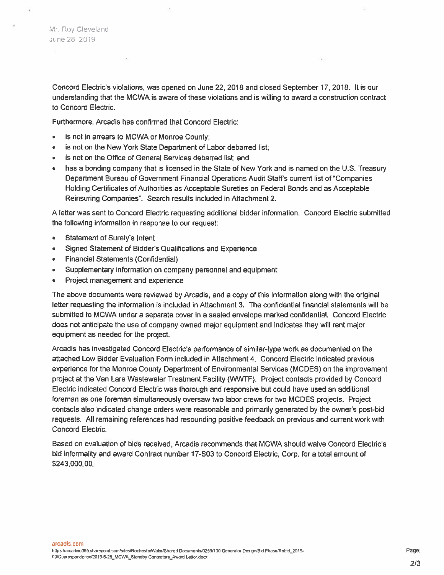Mr. Roy Cleveland June 28, 2019

Concord Electric's violations, was opened on June 22, 2018 and closed September 17, 2018. It is our understanding that the MCWA is aware of these violations and is willing to award a construction contract to Concord Electric.

Furthermore, Arcadis has confirmed that Concord Electric:

is not in arrears to MCWA or Monroe County;

 $\mathcal{H}_{\rm eff}$ 

- is not on the New York State Department of Labor debarred list;
- is not on the Office of General Services debarred list; and
- has a bonding company that is licensed in the State of New York and is named on the U.S. Treasury Department Bureau of Government Financial Operations Audit Staff's current list of "Companies" Holding Certificates of Authorities as Acceptable Sureties on Federal Bonds and as Acceptable Reinsuring Companies". Search results included in Attachment 2.

A letter was sent to Concord Electric requesting additional bidder information. Concord Electric submitted the following information in response to our request:

- **Statement of Surety's Intent**  $\bullet$
- Signed Statement of Bidder's Qualifications and Experience
- **Financial Statements (Confidential)**
- Supplementary information on company personnel and equipment
- Project management and experience  $\qquad \qquad \bullet$

The above documents were reviewed by Arcadis, and a copy of this information along with the original letter requesting the information is included in Attachment 3. The confidential financial statements will be submitted to MCWA under a separate cover in a sealed envelope marked confidential. Concord Electric does not anticipate the use of company owned major equipment and indicates they will rent major equipment as needed for the project.

Arcadis has investigated Concord Electric's performance of similar-type work as documented on the attached Low Bidder Evaluation Form included in Attachment 4. Concord Electric indicated previous experience for the Monroe County Department of Environmental Services (MCDES) on the improvement project at the Van Lare Wastewater Treatment Facility (WWTF). Project contacts provided by Concord Electric indicated Concord Electric was thorough and responsive but could have used an additional foreman as one foreman simultaneously oversaw two labor crews for two MCDES projects. Project contacts also indicated change orders were reasonable and primarily generated by the owner's post-bid requests. All remaining references had resounding positive feedback on previous and current work with Concord Electric.

Based on evaluation of bids received. Arcadis recommends that MCWA should waive Concord Electric's bid informality and award Contract number 17-S03 to Concord Electric, Corp. for a total amount of \$243,000.00.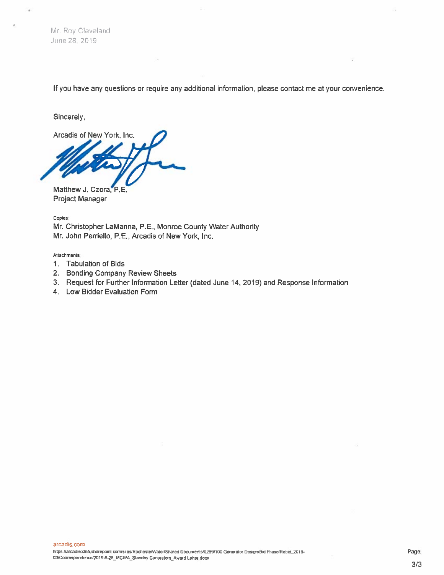Mr. Roy Cleveland June 28, 2019

If you have any questions or require any additional information, please contact me at your convenience.

Sincerely,

Arcadis of New York, Inc.

Matthew J. Czora, P.E. **Project Manager** 

Copies: Mr. Christopher LaManna, P.E., Monroe County Water Authority Mr. John Perriello, P.E., Arcadis of New York, Inc.

Attachments:

- 1. Tabulation of Bids
- 2. Bonding Company Review Sheets
- 3. Request for Further Information Letter (dated June 14, 2019) and Response Information
- 4. Low Bidder Evaluation Form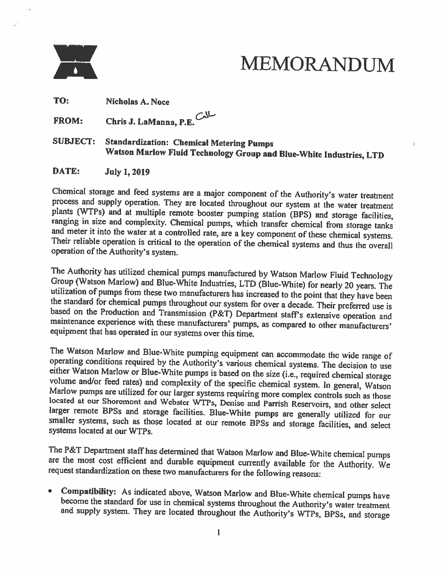

# **MEMORANDUM**

TO: **Nicholas A. Noce** 

Chris J. LaManna, P.E. FROM:

**SUBJECT: Standardization: Chemical Metering Pumps** Watson Marlow Fluid Technology Group and Blue-White Industries, LTD

DATE: **July 1, 2019** 

Chemical storage and feed systems are a major component of the Authority's water treatment process and supply operation. They are located throughout our system at the water treatment plants (WTPs) and at multiple remote booster pumping station (BPS) and storage facilities, ranging in size and complexity. Chemical pumps, which transfer chemical from storage tanks and meter it into the water at a controlled rate, are a key component of these chemical systems. Their reliable operation is critical to the operation of the chemical systems and thus the overall operation of the Authority's system.

The Authority has utilized chemical pumps manufactured by Watson Marlow Fluid Technology Group (Watson Marlow) and Blue-White Industries, LTD (Blue-White) for nearly 20 years. The utilization of pumps from these two manufacturers has increased to the point that they have been the standard for chemical pumps throughout our system for over a decade. Their preferred use is based on the Production and Transmission (P&T) Department staff's extensive operation and maintenance experience with these manufacturers' pumps, as compared to other manufacturers' equipment that has operated in our systems over this time.

The Watson Marlow and Blue-White pumping equipment can accommodate the wide range of operating conditions required by the Authority's various chemical systems. The decision to use either Watson Marlow or Blue-White pumps is based on the size (i.e., required chemical storage volume and/or feed rates) and complexity of the specific chemical system. In general, Watson Marlow pumps are utilized for our larger systems requiring more complex controls such as those located at our Shoremont and Webster WTPs, Denise and Parrish Reservoirs, and other select larger remote BPSs and storage facilities. Blue-White pumps are generally utilized for our smaller systems, such as those located at our remote BPSs and storage facilities, and select systems located at our WTPs.

The P&T Department staff has determined that Watson Marlow and Blue-White chemical pumps are the most cost efficient and durable equipment currently available for the Authority. We request standardization on these two manufacturers for the following reasons:

• Compatibility: As indicated above, Watson Marlow and Blue-White chemical pumps have become the standard for use in chemical systems throughout the Authority's water treatment and supply system. They are located throughout the Authority's WTPs, BPSs, and storage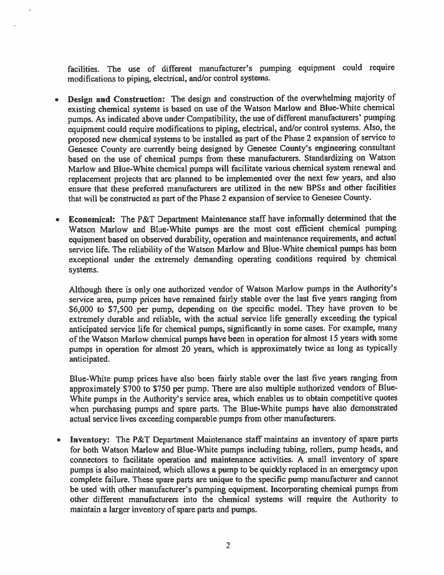facilities. The use of different manufacturer's pumping equipment could require modifications to piping, electrical, and/or control systems.

- Design and Construction: The design and construction of the overwhelming majority of existing chemical systems is based on use of the Watson Marlow and Blue-White chemical pumps. As indicated above under Compatibility, the use of different manufacturers' pumping equipment could require modifications to piping, electrical, and/or control systems. Also, the proposed new chemical systems to be installed as part of the Phase 2 expansion of service to Genesee County are currently being designed by Genesee County's engineering consultant based on the use of chemical pumps from these manufacturers. Standardizing on Watson Marlow and Blue-White chemical pumps will facilitate various chemical system renewal and replacement projects that are planned to be implemented over the next few years, and also ensure that these preferred manufacturers are utilized in the new BPSs and other facilities that will be constructed as part of the Phase 2 expansion of service to Genesee County.
- Economical: The P&T Department Maintenance staff have informally determined that the Watson Marlow and Blue-White pumps are the most cost efficient chemical pumping equipment based on observed durability, operation and maintenance requirements, and actual service life. The reliability of the Watson Marlow and Blue-White chemical pumps has been exceptional under the extremely demanding operating conditions required by chemical systems.

Although there is only one authorized vendor of Watson Marlow pumps in the Authority's service area, pump prices have remained fairly stable over the last five years ranging from \$6,000 to \$7,500 per pump, depending on the specific model. They have proven to be extremely durable and reliable, with the actual service life generally exceeding the typical anticipated service life for chemical pumps, significantly in some cases. For example, many of the Watson Marlow chemical pumps have been in operation for almost 15 years with some pumps in operation for almost 20 years, which is approximately twice as long as typically anticipated.

Blue-White pump prices have also been fairly stable over the last five years ranging from approximately \$700 to \$750 per pump. There are also multiple authorized vendors of Blue-White pumps in the Authority's service area, which enables us to obtain competitive quotes when purchasing pumps and spare parts. The Blue-White pumps have also demonstrated actual service lives exceeding comparable pumps from other manufacturers.

**Inventory:** The P&T Department Maintenance staff maintains an inventory of spare parts  $\bullet$ for both Watson Marlow and Blue-White pumps including tubing, rollers, pump heads, and connectors to facilitate operation and maintenance activities. A small inventory of spare pumps is also maintained, which allows a pump to be quickly replaced in an emergency upon complete failure. These spare parts are unique to the specific pump manufacturer and cannot be used with other manufacturer's pumping equipment. Incorporating chemical pumps from other different manufacturers into the chemical systems will require the Authority to maintain a larger inventory of spare parts and pumps.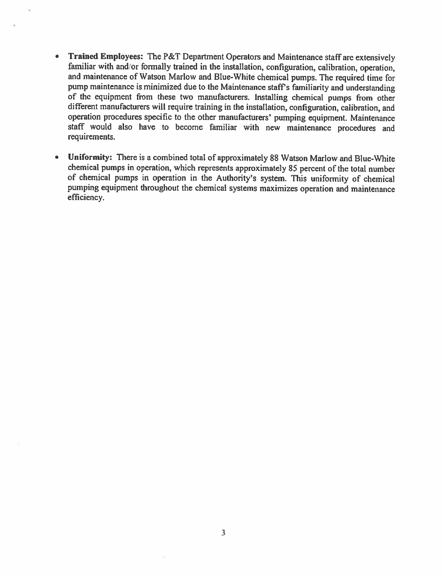- Trained Employees: The P&T Department Operators and Maintenance staff are extensively  $\bullet$ familiar with and/or formally trained in the installation, configuration, calibration, operation, and maintenance of Watson Marlow and Blue-White chemical pumps. The required time for pump maintenance is minimized due to the Maintenance staff's familiarity and understanding of the equipment from these two manufacturers. Installing chemical pumps from other different manufacturers will require training in the installation, configuration, calibration, and operation procedures specific to the other manufacturers' pumping equipment. Maintenance staff would also have to become familiar with new maintenance procedures and requirements.
- $\bullet$ Uniformity: There is a combined total of approximately 88 Watson Marlow and Bluc-White chemical pumps in operation, which represents approximately 85 percent of the total number of chemical pumps in operation in the Authority's system. This uniformity of chemical pumping equipment throughout the chemical systems maximizes operation and maintenance efficiency.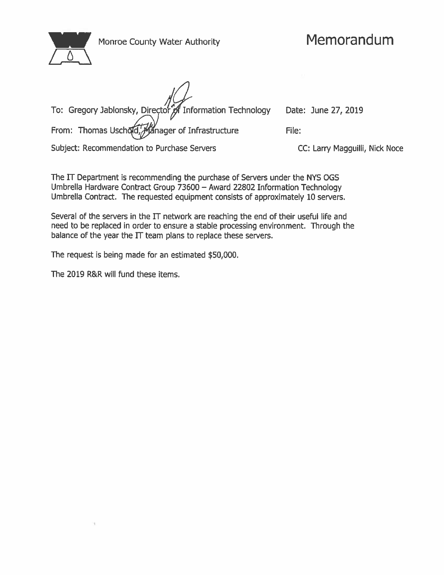| Monroe County Water Authority |
|-------------------------------|
|                               |

| To: Gregory Jablonsky, Director of Information Technology Date: June 27, 2019 |                     |
|-------------------------------------------------------------------------------|---------------------|
| From: Thomas Uschold, Manager of Infrastructure                               | File:               |
| Subject: Recommendation to Purchase Servers                                   | CC: Larry Magguilli |

CC: Larry Magguilli, Nick Noce

The IT Department is recommending the purchase of Servers under the NYS OGS Umbrella Hardware Contract Group 73600 - Award 22802 Information Technology Umbrella Contract. The requested equipment consists of approximately 10 servers.

Several of the servers in the IT network are reaching the end of their useful life and need to be replaced in order to ensure a stable processing environment. Through the balance of the year the IT team plans to replace these servers.

The request is being made for an estimated \$50,000.

The 2019 R&R will fund these items.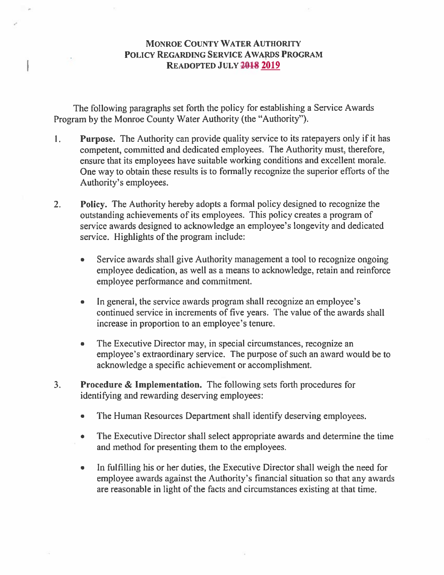# **MONROE COUNTY WATER AUTHORITY** POLICY REGARDING SERVICE AWARDS PROGRAM READOPTED JULY 2018 2019

The following paragraphs set forth the policy for establishing a Service Awards Program by the Monroe County Water Authority (the "Authority").

- 1. **Purpose.** The Authority can provide quality service to its ratepayers only if it has competent, committed and dedicated employees. The Authority must, therefore, ensure that its employees have suitable working conditions and excellent morale. One way to obtain these results is to formally recognize the superior efforts of the Authority's employees.
- $2.$ **Policy.** The Authority hereby adopts a formal policy designed to recognize the outstanding achievements of its employees. This policy creates a program of service awards designed to acknowledge an employee's longevity and dedicated service. Highlights of the program include:
	- Service awards shall give Authority management a tool to recognize ongoing  $\bullet$ employee dedication, as well as a means to acknowledge, retain and reinforce employee performance and commitment.
	- In general, the service awards program shall recognize an employee's  $\bullet$ continued service in increments of five years. The value of the awards shall increase in proportion to an employee's tenure.
	- The Executive Director may, in special circumstances, recognize an  $\bullet$ employee's extraordinary service. The purpose of such an award would be to acknowledge a specific achievement or accomplishment.
- $3.$ **Procedure & Implementation.** The following sets forth procedures for identifying and rewarding deserving employees:
	- $\bullet$ The Human Resources Department shall identify deserving employees.
	- The Executive Director shall select appropriate awards and determine the time  $\bullet$ and method for presenting them to the employees.
	- In fulfilling his or her duties, the Executive Director shall weigh the need for  $\bullet$ employee awards against the Authority's financial situation so that any awards are reasonable in light of the facts and circumstances existing at that time.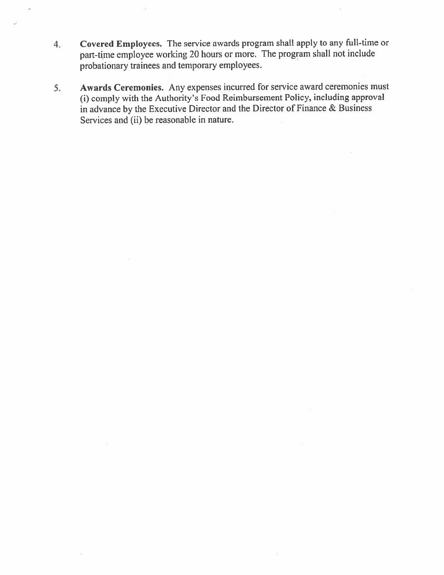- Covered Employees. The service awards program shall apply to any full-time or 4. part-time employee working 20 hours or more. The program shall not include probationary trainees and temporary employees.
- Awards Ceremonies. Any expenses incurred for service award ceremonies must  $5.$ (i) comply with the Authority's Food Reimbursement Policy, including approval in advance by the Executive Director and the Director of Finance & Business Services and (ii) be reasonable in nature.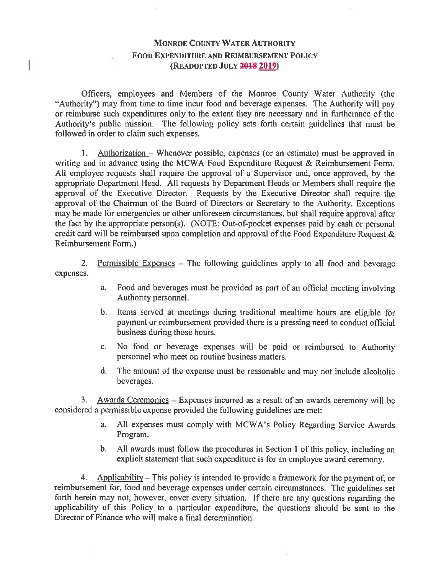# **MONROE COUNTY WATER AUTHORITY FOOD EXPENDITURE AND REIMBURSEMENT POLICY** (READOPTED JULY 2018 2019)

Officers, employees and Members of the Monroe County Water Authority (the "Authority") may from time to time incur food and beverage expenses. The Authority will pay or reimburse such expenditures only to the extent they are necessary and in furtherance of the Authority's public mission. The following policy sets forth certain guidelines that must be followed in order to claim such expenses.

1. Authorization – Whenever possible, expenses (or an estimate) must be approved in writing and in advance using the MCWA Food Expenditure Request & Reimbursement Form. All employee requests shall require the approval of a Supervisor and, once approved, by the appropriate Department Head. All requests by Department Heads or Members shall require the approval of the Executive Director. Requests by the Executive Director shall require the approval of the Chairman of the Board of Directors or Secretary to the Authority. Exceptions may be made for emergencies or other unforeseen circumstances, but shall require approval after the fact by the appropriate person(s). (NOTE: Out-of-pocket expenses paid by cash or personal credit card will be reimbursed upon completion and approval of the Food Expenditure Request & Reimbursement Form.)

 $2.$ Permissible Expenses – The following guidelines apply to all food and beverage expenses.

- Food and beverages must be provided as part of an official meeting involving  $a_{\cdot}$ Authority personnel.
- Items served at meetings during traditional mealtime hours are eligible for  $\mathbf{b}$ . payment or reimbursement provided there is a pressing need to conduct official business during those hours.
- No food or beverage expenses will be paid or reimbursed to Authority  $C<sub>1</sub>$ personnel who meet on routine business matters.
- The amount of the expense must be reasonable and may not include alcoholic d. beverages.

3. Awards Ceremonies – Expenses incurred as a result of an awards ceremony will be considered a permissible expense provided the following guidelines are met:

- All expenses must comply with MCWA's Policy Regarding Service Awards  $a.$ Program.
- b. All awards must follow the procedures in Section 1 of this policy, including an explicit statement that such expenditure is for an employee award ceremony.

 $4.$ Applicability – This policy is intended to provide a framework for the payment of, or reimbursement for, food and beverage expenses under certain circumstances. The guidelines set forth herein may not, however, cover every situation. If there are any questions regarding the applicability of this Policy to a particular expenditure, the questions should be sent to the Director of Finance who will make a final determination.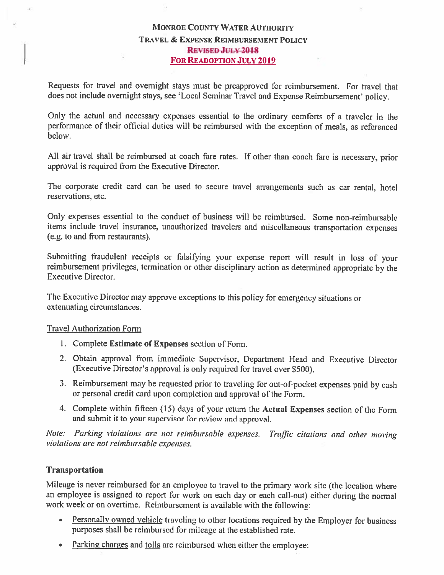# **MONROE COUNTY WATER AUTHORITY** TRAVEL & EXPENSE REIMBURSEMENT POLICY **REVISED JULY 2018 FOR READOPTION JULY 2019**

Requests for travel and overnight stays must be preapproved for reimbursement. For travel that does not include overnight stays, see 'Local Seminar Travel and Expense Reimbursement' policy.

Only the actual and necessary expenses essential to the ordinary comforts of a traveler in the performance of their official duties will be reimbursed with the exception of meals, as referenced helow.

All air travel shall be reimbursed at coach fare rates. If other than coach fare is necessary, prior approval is required from the Executive Director.

The corporate credit card can be used to secure travel arrangements such as car rental, hotel reservations, etc.

Only expenses essential to the conduct of business will be reimbursed. Some non-reimbursable items include travel insurance, unauthorized travelers and miscellaneous transportation expenses (e.g. to and from restaurants).

Submitting fraudulent receipts or falsifying your expense report will result in loss of your reimbursement privileges, termination or other disciplinary action as determined appropriate by the **Executive Director.** 

The Executive Director may approve exceptions to this policy for emergency situations or extenuating circumstances.

## **Travel Authorization Form**

- 1. Complete Estimate of Expenses section of Form.
- 2. Obtain approval from immediate Supervisor, Department Head and Executive Director (Executive Director's approval is only required for travel over \$500).
- 3. Reimbursement may be requested prior to traveling for out-of-pocket expenses paid by cash or personal credit card upon completion and approval of the Form.
- 4. Complete within fifteen (15) days of your return the Actual Expenses section of the Form and submit it to your supervisor for review and approval.

Note: Parking violations are not reimbursable expenses. Traffic citations and other moving violations are not reimbursable expenses.

## **Transportation**

Mileage is never reimbursed for an employee to travel to the primary work site (the location where an employee is assigned to report for work on each day or each call-out) either during the normal work week or on overtime. Reimbursement is available with the following:

- $\bullet$ Personally owned vehicle traveling to other locations required by the Employer for business purposes shall be reimbursed for mileage at the established rate.
- Parking charges and tolls are reimbursed when either the employee:  $\bullet$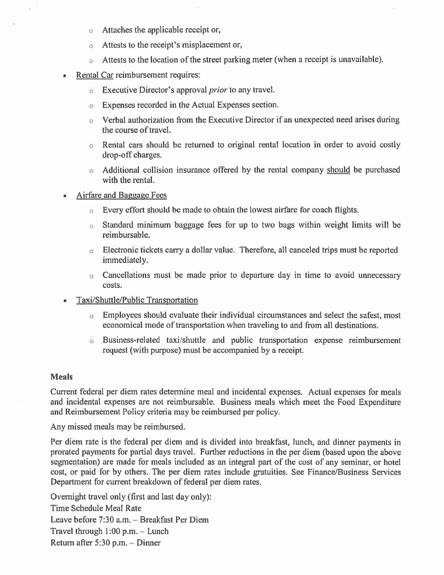- Attaches the applicable receipt or,  $\circ$
- Attests to the receipt's misplacement or,  $\circ$
- Attests to the location of the street parking meter (when a receipt is unavailable).
- Rental Car reimbursement requires:
	- **Executive Director's approval** *prior* to any travel.
	- Expenses recorded in the Actual Expenses section.  $\circ$
	- Verbal authorization from the Executive Director if an unexpected need arises during the course of travel.
	- o Rental cars should be returned to original rental location in order to avoid costly drop-off charges.
	- Additional collision insurance offered by the rental company should be purchased with the rental.
- Airfare and Baggage Fees
	- Every effort should be made to obtain the lowest airfare for coach flights.
	- 6 Standard minimum baggage fees for up to two bags within weight limits will be reimbursable.
	- Electronic tickets carry a dollar value. Therefore, all canceled trips must be reported immediately.
	- Cancellations must be made prior to departure day in time to avoid unnecessary costs.
- Taxi/Shuttle/Public Transportation
	- Employees should evaluate their individual circumstances and select the safest, most economical mode of transportation when traveling to and from all destinations.
	- Business-related taxi/shuttle and public transportation expense reimbursement request (with purpose) must be accompanied by a receipt.

#### **Meals**

Current federal per diem rates determine meal and incidental expenses. Actual expenses for meals and incidental expenses are not reimbursable. Business meals which meet the Food Expenditure and Reimbursement Policy criteria may be reimbursed per policy.

Any missed meals may be reimbursed.

Per diem rate is the federal per diem and is divided into breakfast, lunch, and dinner payments in prorated payments for partial days travel. Further reductions in the per diem (based upon the above segmentation) are made for meals included as an integral part of the cost of any seminar, or hotel cost, or paid for by others. The per diem rates include gratuities. See Finance/Business Services Department for current breakdown of federal per diem rates.

Overnight travel only (first and last day only): Time Schedule Meal Rate Leave before 7:30 a.m. - Breakfast Per Diem Travel through  $1:00$  p.m. - Lunch Return after 5:30 p.m. - Dinner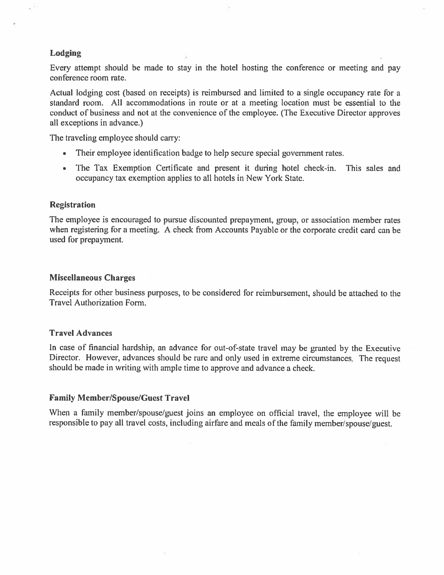## Lodging

Every attempt should be made to stay in the hotel hosting the conference or meeting and pay conference room rate.

Actual lodging cost (based on receipts) is reimbursed and limited to a single occupancy rate for a standard room. All accommodations in route or at a meeting location must be essential to the conduct of business and not at the convenience of the employee. (The Executive Director approves all exceptions in advance.)

The traveling employee should carry:

- Their employee identification badge to help secure special government rates.
- The Tax Exemption Certificate and present it during hotel check-in. This sales and occupancy tax exemption applies to all hotels in New York State.

#### **Registration**

The employee is encouraged to pursue discounted prepayment, group, or association member rates when registering for a meeting. A check from Accounts Payable or the corporate credit card can be used for prepayment.

#### **Miscellaneous Charges**

Receipts for other business purposes, to be considered for reimbursement, should be attached to the Travel Authorization Form.

#### **Travel Advances**

In case of financial hardship, an advance for out-of-state travel may be granted by the Executive Director. However, advances should be rare and only used in extreme circumstances. The request should be made in writing with ample time to approve and advance a check.

## **Family Member/Spouse/Guest Travel**

When a family member/spouse/guest joins an employee on official travel, the employee will be responsible to pay all travel costs, including airfare and meals of the family member/spouse/guest.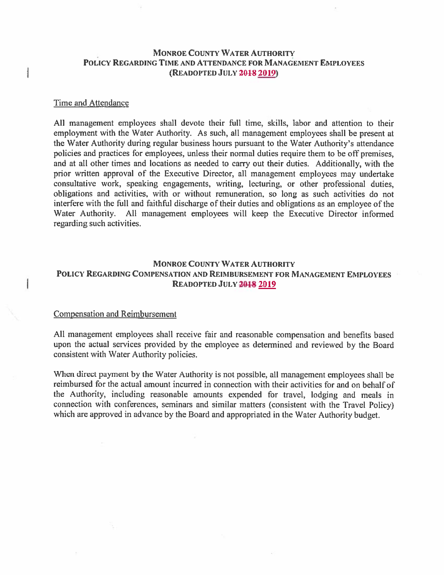## **MONROE COUNTY WATER AUTHORITY** POLICY REGARDING TIME AND ATTENDANCE FOR MANAGEMENT EMPLOYEES (READOPTED JULY 2018 2019)

#### Time and Attendance

ł

All management employees shall devote their full time, skills, labor and attention to their employment with the Water Authority. As such, all management employees shall be present at the Water Authority during regular business hours pursuant to the Water Authority's attendance policies and practices for employees, unless their normal duties require them to be off premises, and at all other times and locations as needed to carry out their duties. Additionally, with the prior written approval of the Executive Director, all management employees may undertake consultative work, speaking engagements, writing, lecturing, or other professional duties, obligations and activities, with or without remuneration, so long as such activities do not interfere with the full and faithful discharge of their duties and obligations as an employee of the Water Authority. All management employees will keep the Executive Director informed regarding such activities.

## **MONROE COUNTY WATER AUTHORITY** POLICY REGARDING COMPENSATION AND REIMBURSEMENT FOR MANAGEMENT EMPLOYEES READOPTED JULY 2018 2019

#### **Compensation and Reimbursement**

All management employees shall receive fair and reasonable compensation and benefits based upon the actual services provided by the employee as determined and reviewed by the Board consistent with Water Authority policies.

When direct payment by the Water Authority is not possible, all management employees shall be reimbursed for the actual amount incurred in connection with their activities for and on behalf of the Authority, including reasonable amounts expended for travel, lodging and meals in connection with conferences, seminars and similar matters (consistent with the Travel Policy) which are approved in advance by the Board and appropriated in the Water Authority budget.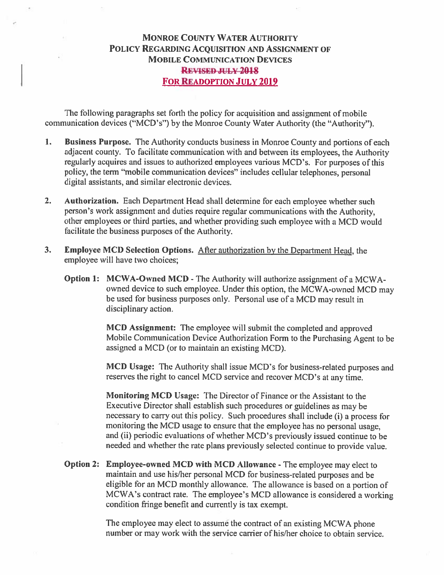# **MONROE COUNTY WATER AUTHORITY** POLICY REGARDING ACQUISITION AND ASSIGNMENT OF **MOBILE COMMUNICATION DEVICES REVISED JULY 2018 FOR READOPTION JULY 2019**

The following paragraphs set forth the policy for acquisition and assignment of mobile communication devices ("MCD's") by the Monroe County Water Authority (the "Authority").

- $\mathbf{1}$ . Business Purpose. The Authority conducts business in Monroe County and portions of each adjacent county. To facilitate communication with and between its employees, the Authority regularly acquires and issues to authorized employees various MCD's. For purposes of this policy, the term "mobile communication devices" includes cellular telephones, personal digital assistants, and similar electronic devices.
- $2.$ Authorization. Each Department Head shall determine for each employee whether such person's work assignment and duties require regular communications with the Authority, other employees or third parties, and whether providing such employee with a MCD would facilitate the business purposes of the Authority.
- $3<sub>1</sub>$ **Employee MCD Selection Options.** After authorization by the Department Head, the employee will have two choices:
	- Option 1: MCWA-Owned MCD The Authority will authorize assignment of a MCWAowned device to such employee. Under this option, the MCWA-owned MCD may be used for business purposes only. Personal use of a MCD may result in disciplinary action.

MCD Assignment: The employee will submit the completed and approved Mobile Communication Device Authorization Form to the Purchasing Agent to be assigned a MCD (or to maintain an existing MCD).

MCD Usage: The Authority shall issue MCD's for business-related purposes and reserves the right to cancel MCD service and recover MCD's at any time.

Monitoring MCD Usage: The Director of Finance or the Assistant to the Executive Director shall establish such procedures or guidelines as may be necessary to carry out this policy. Such procedures shall include (i) a process for monitoring the MCD usage to ensure that the employee has no personal usage, and (ii) periodic evaluations of whether MCD's previously issued continue to be needed and whether the rate plans previously selected continue to provide value.

Option 2: Employee-owned MCD with MCD Allowance - The employee may elect to maintain and use his/her personal MCD for business-related purposes and be eligible for an MCD monthly allowance. The allowance is based on a portion of MCWA's contract rate. The employee's MCD allowance is considered a working condition fringe benefit and currently is tax exempt.

> The employee may elect to assume the contract of an existing MCWA phone number or may work with the service carrier of his/her choice to obtain service.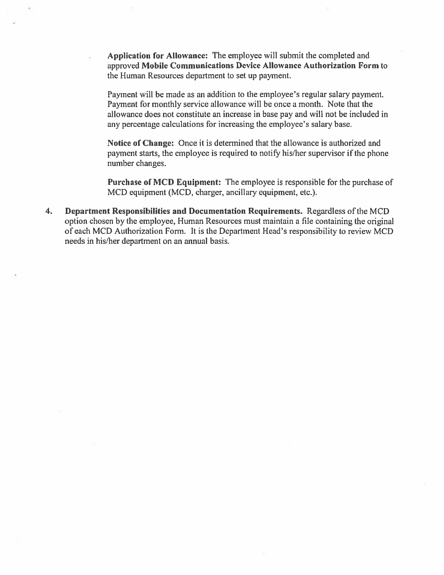Application for Allowance: The employee will submit the completed and approved Mobile Communications Device Allowance Authorization Form to the Human Resources department to set up payment.

Payment will be made as an addition to the employee's regular salary payment. Payment for monthly service allowance will be once a month. Note that the allowance does not constitute an increase in base pay and will not be included in any percentage calculations for increasing the employee's salary base.

Notice of Change: Once it is determined that the allowance is authorized and payment starts, the employee is required to notify his/her supervisor if the phone number changes.

Purchase of MCD Equipment: The employee is responsible for the purchase of MCD equipment (MCD, charger, ancillary equipment, etc.).

 $\overline{4}$ . Department Responsibilities and Documentation Requirements. Regardless of the MCD option chosen by the employee, Human Resources must maintain a file containing the original of each MCD Authorization Form. It is the Department Head's responsibility to review MCD needs in his/her department on an annual basis.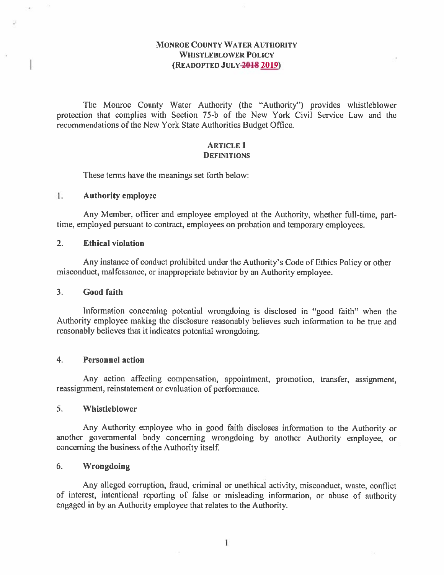## **MONROE COUNTY WATER AUTHORITY WHISTLEBLOWER POLICY** (READOPTED JULY-2018 2019)

The Monroe County Water Authority (the "Authority") provides whistleblower protection that complies with Section 75-b of the New York Civil Service Law and the recommendations of the New York State Authorities Budget Office.

#### **ARTICLE 1 DEFINITIONS**

These terms have the meanings set forth below:

#### $1.$ **Authority employee**

Any Member, officer and employee employed at the Authority, whether full-time, parttime, employed pursuant to contract, employees on probation and temporary employees.

#### $2<sub>1</sub>$ **Ethical violation**

Any instance of conduct prohibited under the Authority's Code of Ethics Policy or other misconduct, malfeasance, or inappropriate behavior by an Authority employee.

#### $3<sub>1</sub>$ **Good faith**

Information concerning potential wrongdoing is disclosed in "good faith" when the Authority employee making the disclosure reasonably believes such information to be true and reasonably believes that it indicates potential wrongdoing.

#### $\overline{4}$ . **Personnel action**

Any action affecting compensation, appointment, promotion, transfer, assignment, reassignment, reinstatement or evaluation of performance.

#### 5. **Whistleblower**

Any Authority employee who in good faith discloses information to the Authority or another governmental body concerning wrongdoing by another Authority employee, or concerning the business of the Authority itself.

#### $6.$ **Wrongdoing**

Any alleged corruption, fraud, criminal or unethical activity, misconduct, waste, conflict of interest, intentional reporting of false or misleading information, or abuse of authority engaged in by an Authority employee that relates to the Authority.

1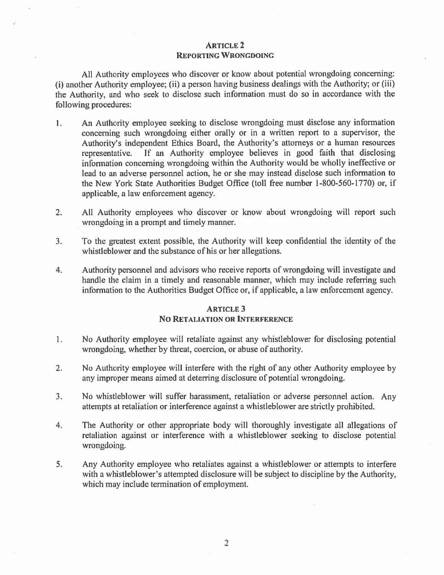#### **ARTICLE 2 REPORTING WRONGDOING**

All Authority employees who discover or know about potential wrongdoing concerning: (i) another Authority employee; (ii) a person having business dealings with the Authority; or (iii) the Authority, and who seek to disclose such information must do so in accordance with the following procedures:

- An Authority employee seeking to disclose wrongdoing must disclose any information  $\mathbf{1}$ . concerning such wrongdoing either orally or in a written report to a supervisor, the Authority's independent Ethics Board, the Authority's attorneys or a human resources representative. If an Authority employee believes in good faith that disclosing information concerning wrongdoing within the Authority would be wholly ineffective or lead to an adverse personnel action, he or she may instead disclose such information to the New York State Authorities Budget Office (toll free number 1-800-560-1770) or, if applicable, a law enforcement agency.
- $2.$ All Authority employees who discover or know about wrongdoing will report such wrongdoing in a prompt and timely manner.
- $3.$ To the greatest extent possible, the Authority will keep confidential the identity of the whistleblower and the substance of his or her allegations.
- $\overline{4}$ . Authority personnel and advisors who receive reports of wrongdoing will investigate and handle the claim in a timely and reasonable manner, which may include referring such information to the Authorities Budget Office or, if applicable, a law enforcement agency.

## **ARTICLE 3 NO RETALIATION OR INTERFERENCE**

- No Authority employee will retaliate against any whistleblower for disclosing potential 1. wrongdoing, whether by threat, coercion, or abuse of authority.
- $2.$ No Authority employee will interfere with the right of any other Authority employee by any improper means aimed at deterring disclosure of potential wrongdoing.
- No whistleblower will suffer harassment, retaliation or adverse personnel action. Any  $3.$ attempts at retaliation or interference against a whistleblower are strictly prohibited.
- $4.$ The Authority or other appropriate body will thoroughly investigate all allegations of retaliation against or interference with a whistleblower seeking to disclose potential wrongdoing.
- $5.$ Any Authority employee who retaliates against a whistleblower or attempts to interfere with a whistleblower's attempted disclosure will be subject to discipline by the Authority, which may include termination of employment.